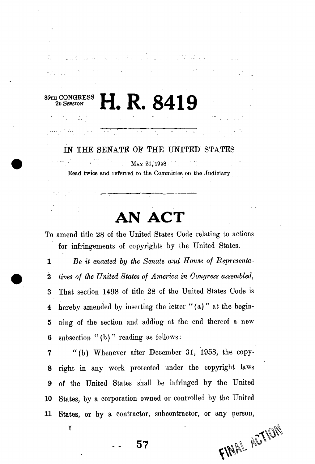## 85TH CONGRESS<br>
2D SESSION 2D SESSION **H. R. 8419**

an de la pro

.<br>1919 - January Leonard, president

*IN* THE SENATE OF THE UNITED STATES

MAY 21, 1958 Bead twice and referred to the Committee on the Judiciary

## **AN ACT**

To amend title 28 of the United States Code relating to actions for infringements of copyrights by the United States.

1 *Be it enacted by the Senate and House of Representa-*2 *tives of the United States of America in Congress assembled,*  3 That section 1498 of title 28 of the United States Code is 4 hereby amended by inserting the letter " $(a)$ " at the begin-5 ning of the section and adding at the end thereof a new 6 subsection "(b) " reading as follows:

7 "(b) Whenever after December 31, 1958, the copy-8 right in any work protected under the copyright laws 9 of the United States shall be infringed by the United 10 States, by a corporation owned or controlled by the United 11 States, or by a contractor, subcontractor, or any person,

**FINAL ACTION** 

I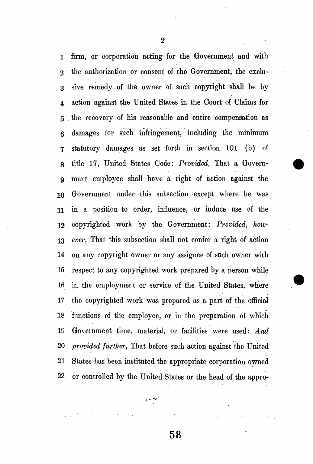1 firm, or corporation acting for the Government and with 2 the authorization or consent of the Government, the exclu-3 sive remedy of the owner of such copyright shall be by 4 action against the United States in the Court of Claims for 5 the recovery of his reasonable and entire compensation as 6 damages for such infringement, including the minimum 7 statutory damages as set forth in section 101 (b) of 8 title 17, United States Code: *Provided,* That a Govem-9 ment employee shall have a right of action against the 10 Government under this subsection except where he was 11 in a position to order, influence, or induce use of the 12 copyrighted work by the Government: *Provided, how-*13 *ever,* That this subsection shall not confer a right of action 14 on any copyright owner or any assignee of such owner with 15 respect to any copyrighted work prepared by a person while 16 in the employment or service of the United States, where 17 the copyrighted work was prepared as a part of the official 18 functions of the employee, or in the preparation of which 19 Government time, material, or facilities were used: *And*  20 *provided further,* That before such action against the United 21 States has been instituted the appropriate corporation owned 22 or controlled by the United States or the head of the appro-

2

**58** 

 $\mathbf{A}$  in  $\mathbf{A}$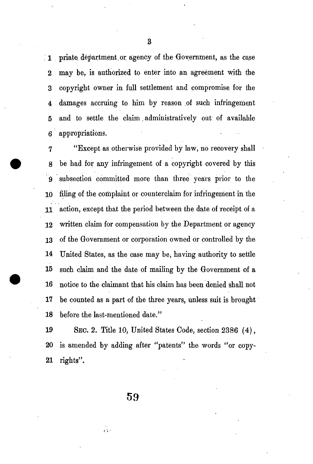1 priate. department, or agency of the Government, as the case 2 may be, is authorized to enter into an agreement with the 3 copyright owner in full settlement and compromise for the 4 damages accruing to him by reason of such infringement 5 and to settle the claim. administratively out of available 6 appropriations.

7 "Except as otherwise provided by law, no recovery shall 8 be had for any infringement of a copyright covered by this 9 subsection committed more than three years prior to the 10 filing of the complaint or counterclaim for infringement in the 11 action, except that the period between the date of receipt of a 12 written claim for compensation by the Department or agency 13 of the Government or corporation owned or controlled by the 14 United States, as the case may be, having authority to settle 15 such claim and the date of mailing by the Government of a 16 notice to the claimant that his claim has been denied shall not 17 be counted as a part of the three years, unless suit is brought 18 before the last-mentioned date."

19 SEC. 2. Title 10, United States Code, section 2386 (4), 20 is amended by adding after "patents" the words "or copy-21 rights".

**59** 

 $\frac{1}{2}$  ,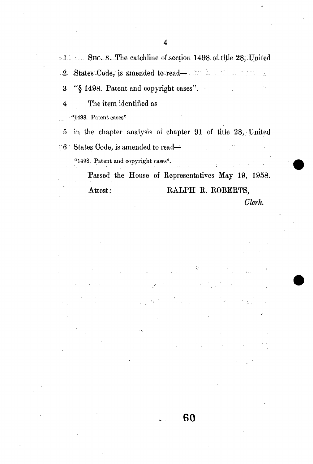**illianally** SEC. 3. The catchline of section 1498 of title 28, United 2- States Code, is amended to- read—, *'::'*  Ž.

3 "§ 1498. Patent and copyright cases".

4 The item identified as

"1498. Patent cases"

5 in the chapter analysis of chapter 91 of title 28, United 6 States Code, is amended to read—

."1498. Patent and copyright cases".

Passed the House of Representatives May 19, 1958. Attest: RALPH R. ROBERTS, *Clerk.* 

**60**